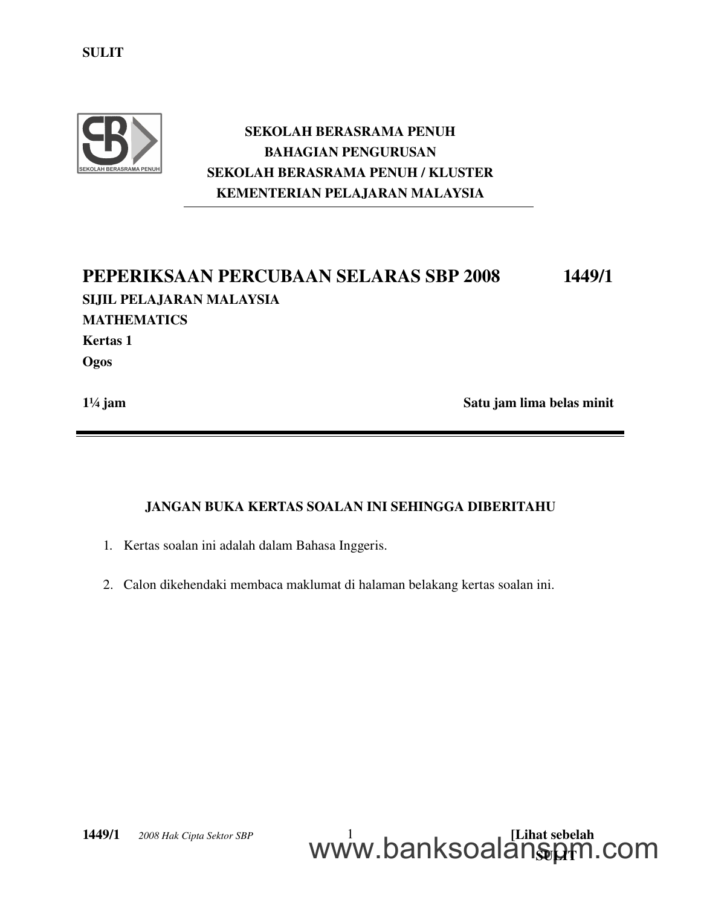

## SEKOLAH BERASRAMA PENUH BAHAGIAN PENGURUSAN SEKOLAH BERASRAMA PENUH / KLUSTER KEMENTERIAN PELAJARAN MALAYSIA

# PEPERIKSAAN PERCUBAAN SELARAS SBP 2008 1449/1 SIJIL PELAJARAN MALAYSIA MATHEMATICS Kertas 1 **Ogos**

1¼ jam satu jam lima belas minit

## JANGAN BUKA KERTAS SOALAN INI SEHINGGA DIBERITAHU

- 1. Kertas soalan ini adalah dalam Bahasa Inggeris.
- 2. Calon dikehendaki membaca maklumat di halaman belakang kertas soalan ini.

**1449/1**  $\odot$  2008 Hak Cipta Sektor SBP  $\qquad \qquad 1 \qquad \qquad 1$ <u>WWW.DalinoUalalistyh</u> www.banksoalanspm.com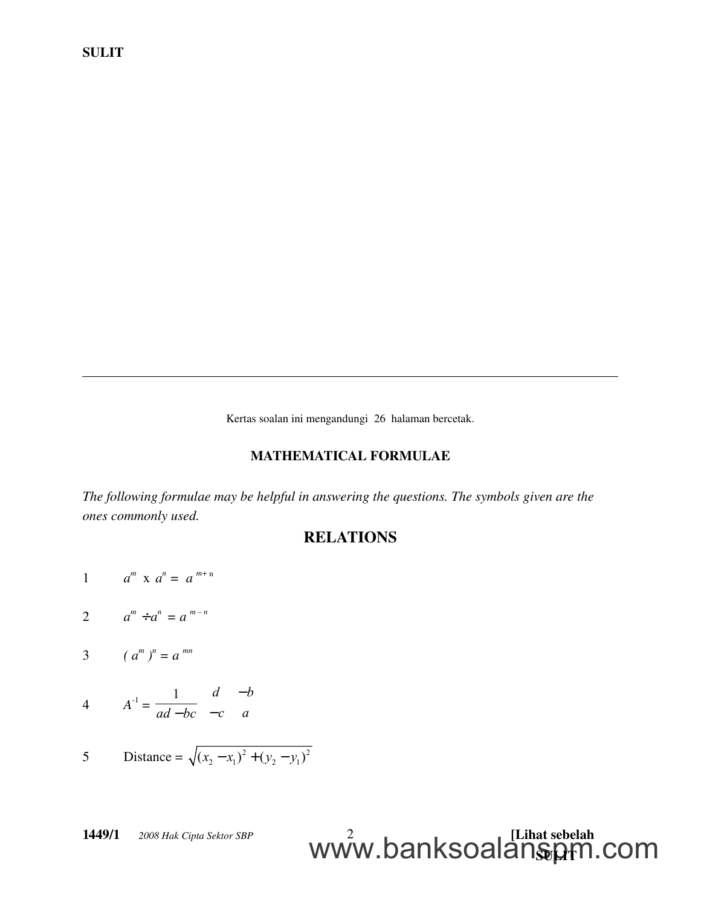Kertas soalan ini mengandungi 26 halaman bercetak.

#### MATHEMATICAL FORMULAE

*The following formulae may be helpful in answering the questions. The symbols given are the ones commonly used.*

## RELATIONS

- 1  $a^m$  x  $a^n = a^{m+n}$
- 2  $a^m \div a^n = a^{m-n}$
- 3  $(a^m)^n = a^{mn}$

$$
A^{-1} = \frac{1}{ad - bc} \begin{pmatrix} d & -b \\ -c & a \end{pmatrix}
$$

5 Distance = 
$$
\sqrt{(x_2 - x_1)^2 + (y_2 - y_1)^2}
$$

**1449/1**  $\odot$  2008 Hak Cipta Sektor SBP  $\qquad \qquad 2 \qquad \qquad$ <u>WWW.DalinoUalalistyh</u> www.banksoalanspm.com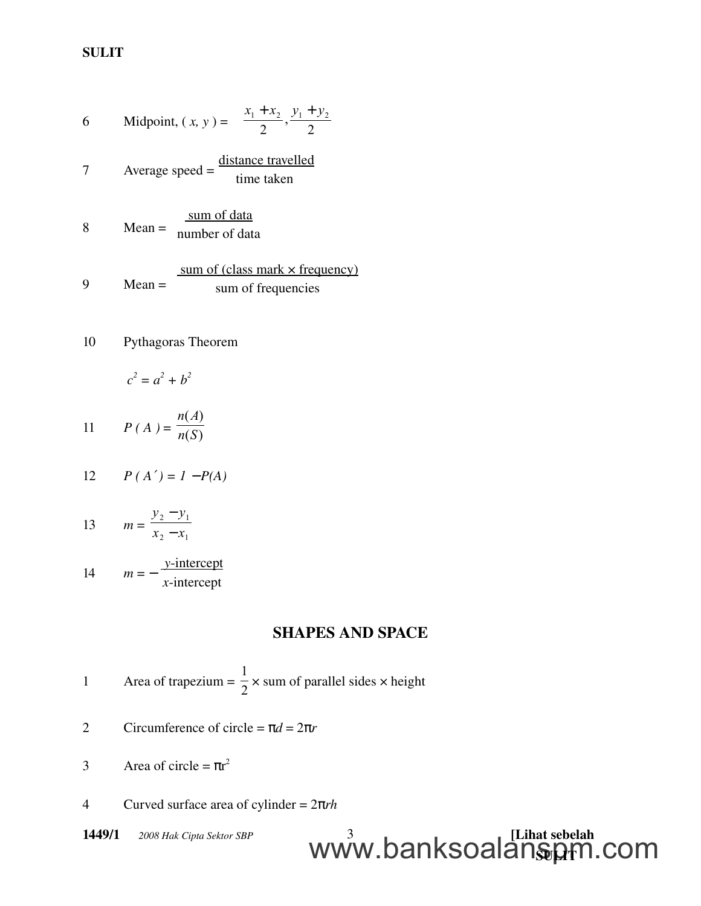6 Midpoint, 
$$
(x, y) = \left(\frac{x_1 + x_2}{2}, \frac{y_1 + y_2}{2}\right)
$$
  
7 Average speed =  $\frac{\text{distance travelled}}{\text{time taken}}$   
8 Mean =  $\frac{\text{sum of data}}{\text{number of data}}$   
9 Mean =  $\frac{\text{sum of (class mark × frequency)}}{\text{sum of frequency}}$ 

10 Pythagoras Theorem

$$
c^2 = a^2 + b^2
$$

11 
$$
P(A) = \frac{n(A)}{n(S)}
$$

$$
12 \qquad P(A') = 1 - P(A)
$$

13 
$$
m = \frac{y_2 - y_1}{x_2 - x_1}
$$

14 
$$
m = -\frac{y\text{-intercept}}{x\text{-intercept}}
$$

## SHAPES AND SPACE

Area of trapezium = 
$$
\frac{1}{2}
$$
 x sum of parallel sides x height

2 Circumference of circle =  $\pi d = 2\pi r$ 

3 Area of circle =  $\pi r^2$ 

4 Curved surface area of cylinder = 2π*rh*

**1449/1**  $\oslash$  2008 Hak Cipta Sektor SBP  $\qquad \qquad$  3 <u>WWW.DalinoUalalistyh</u> www.banksoalanspm.com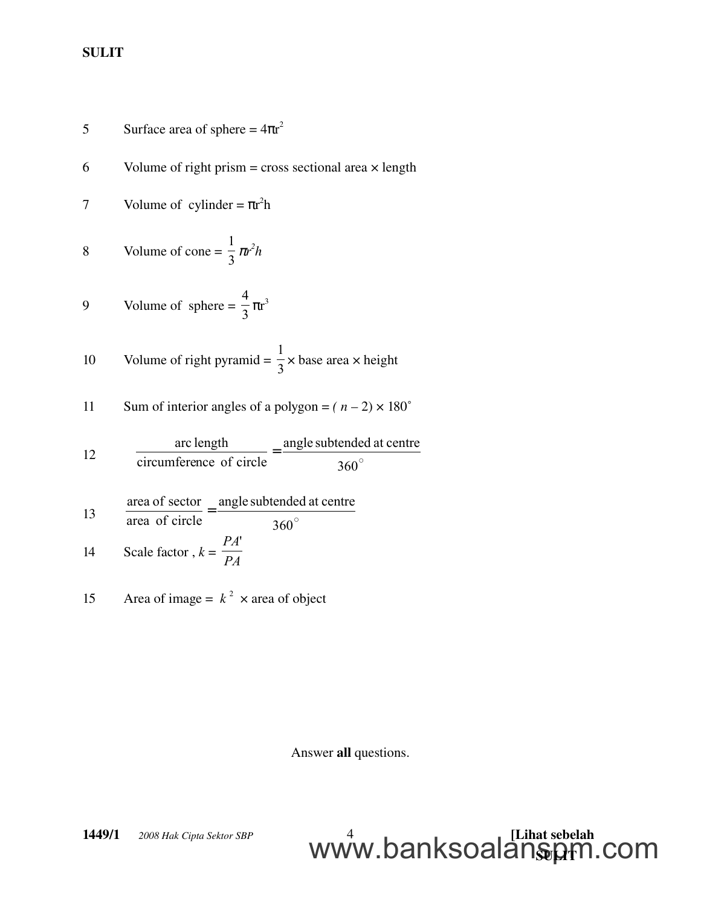$$
5
$$
 Surface area of sphere =  $4\pi r^2$ 

6 Volume of right prism = cross sectional area  $\times$  length

7 Volume of cylinder = 
$$
\pi r^2 h
$$

$$
8 \t Volume of cone = \frac{1}{3} \pi r^2 h
$$

$$
9 \t Volume of sphere = \frac{4}{3}\pi r^3
$$

10 Volume of right pyramid = 
$$
\frac{1}{3}
$$
 × base area × height

11 Sum of interior angles of a polygon = 
$$
(n-2) \times 180^{\circ}
$$

12 
$$
\frac{\text{arc length}}{\text{circumference of circle}} = \frac{\text{angle subtended at centre}}{360^{\circ}}
$$

13 
$$
\frac{\text{area of sector}}{\text{area of circle}} = \frac{\text{angle subtended at centre}}{360^\circ}
$$

14 Scale factor, 
$$
k = \frac{IA}{PA}
$$

15 Area of image = 
$$
k^2
$$
 x area of object

Answer all questions.

<u>WWW.DalinoUalalistyh</u>

www.banksoalanspm.com

**1449/1** © 2008 Hak Cipta Sektor SBP 
$$
4
$$
  $\blacksquare$   $\blacksquare$  [Lihat sebelah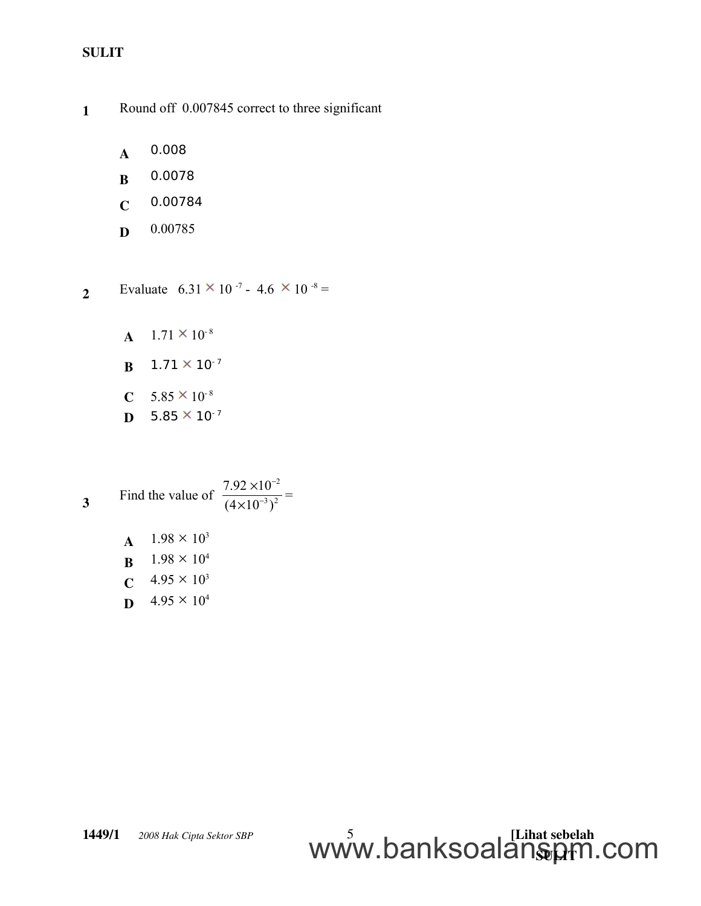1 Round off 0.007845 correct to three significant

- A 0.008
- B 0.0078
- $C$  0.00784
- D 0.00785

2 Evaluate  $6.31 \times 10^{-7}$  - 4.6  $\times 10^{-8}$  =

- $A$  1.71  $\times$  10<sup>-8</sup>
- $B$  1.71  $\times$  10<sup>-7</sup>
- $C$  5.85  $\times$  10<sup>-8</sup>
- **D**  $5.85 \times 10^{-7}$

3 Find the value of 
$$
\frac{7.92 \times 10^{-2}}{(4 \times 10^{-3})^2} =
$$

**A**  $1.98 \times 10^3$ **B**  $1.98 \times 10^4$ **C**  $4.95 \times 10^3$ **D**  $4.95 \times 10^4$ 

**1449/1**  $\odot$  2008 Hak Cipta Sektor SBP  $\qquad \qquad \qquad$  5 <u>WWW.DalinoUalalistyh</u> www.banksoalanspm.com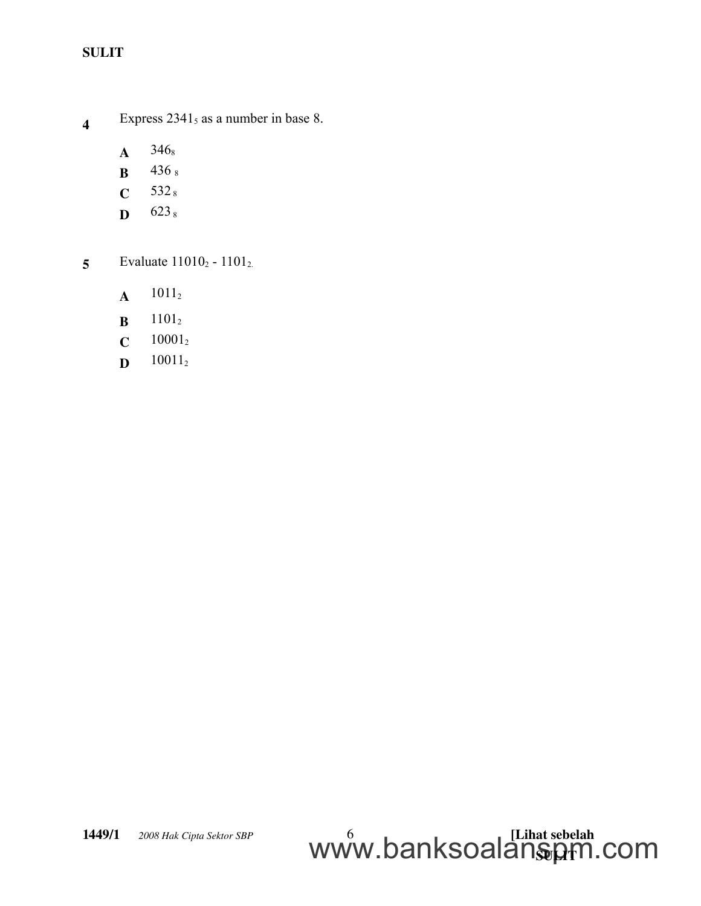- 4 Express  $2341<sub>5</sub>$  as a number in base 8.
	- $A$  346<sub>8</sub>
	- **B** 436 8
	- $C = 532<sub>8</sub>$
	- $\mathbf{D} = 623 \, \mathrm{s}$
- 5 Evaluate  $11010_2 1101_2$ .
	- $A$  1011<sub>2</sub>
	- $B$  1101<sub>2</sub>
	- $C = 10001_2$
	- $D$  10011<sub>2</sub>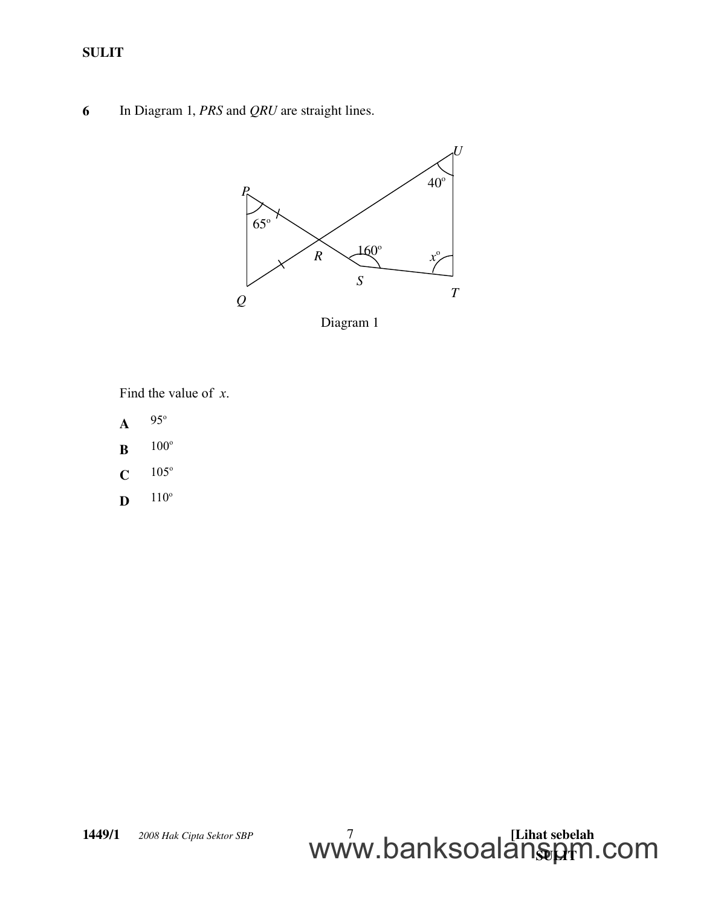6 In Diagram 1, *PRS* and *QRU* are straight lines.



Diagram 1

Find the value of *x*.

- $A$  95°
- $B$  100<sup>o</sup>
- $C$  105°
- $\mathbf{D}$  110<sup>o</sup>

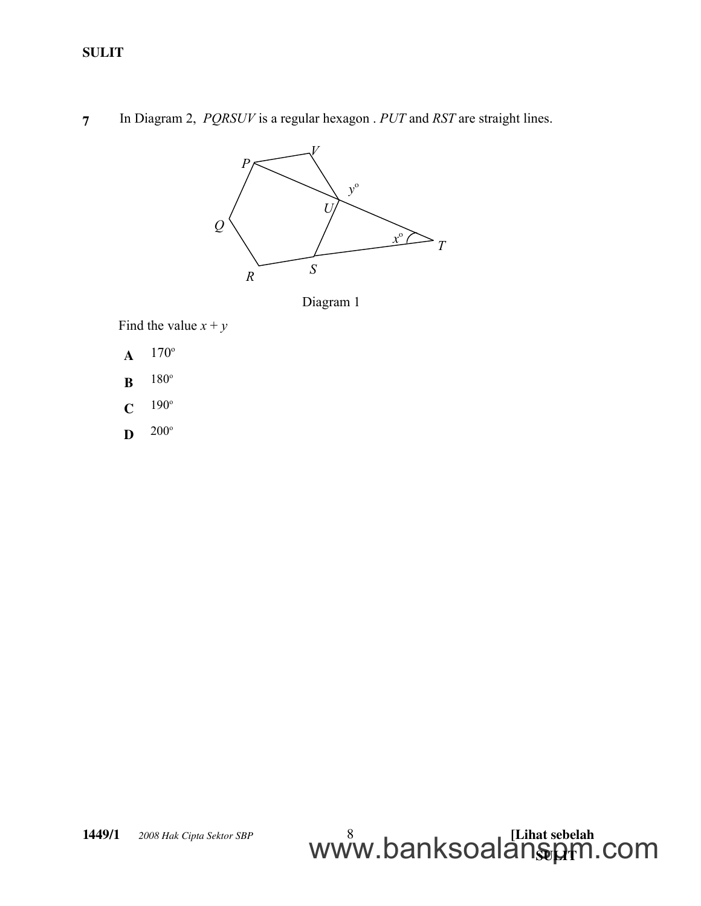7 In Diagram 2, *PQRSUV* is a regular hexagon . *PUT* and *RST* are straight lines.



Diagram 1

Find the value  $x + y$ 

- $A$  170<sup>o</sup>
- $B$  180<sup>o</sup>
- $C$  190<sup>o</sup>
- $\mathbf{D}$  200<sup>o</sup>

#### **1449/1**  $\oslash$  2008 Hak Cipta Sektor SBP  $\qquad \qquad \qquad 8$ <u>WWW.DalinoUalalistyh</u> www.banksoalanspm.com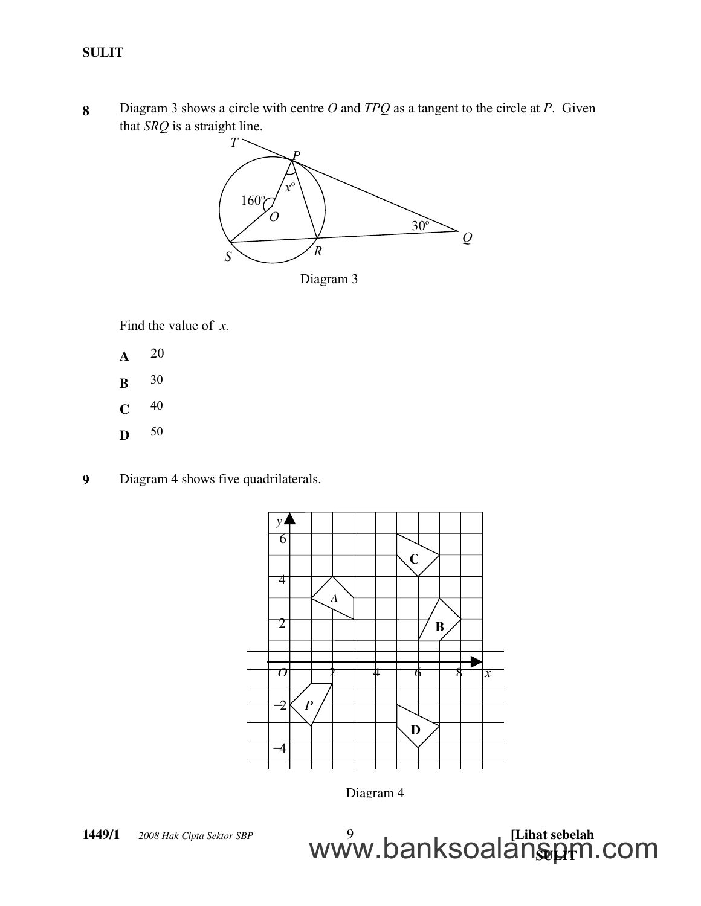8 Diagram 3 shows a circle with centre *O* and *TPQ* as a tangent to the circle at *P*. Given that *SRQ* is a straight line.



Diagram 3

Find the value of *x.*

- A 20
- **B** 30
- $C$  40
- D 50
- 9 Diagram 4 shows five quadrilaterals.



Diagram 4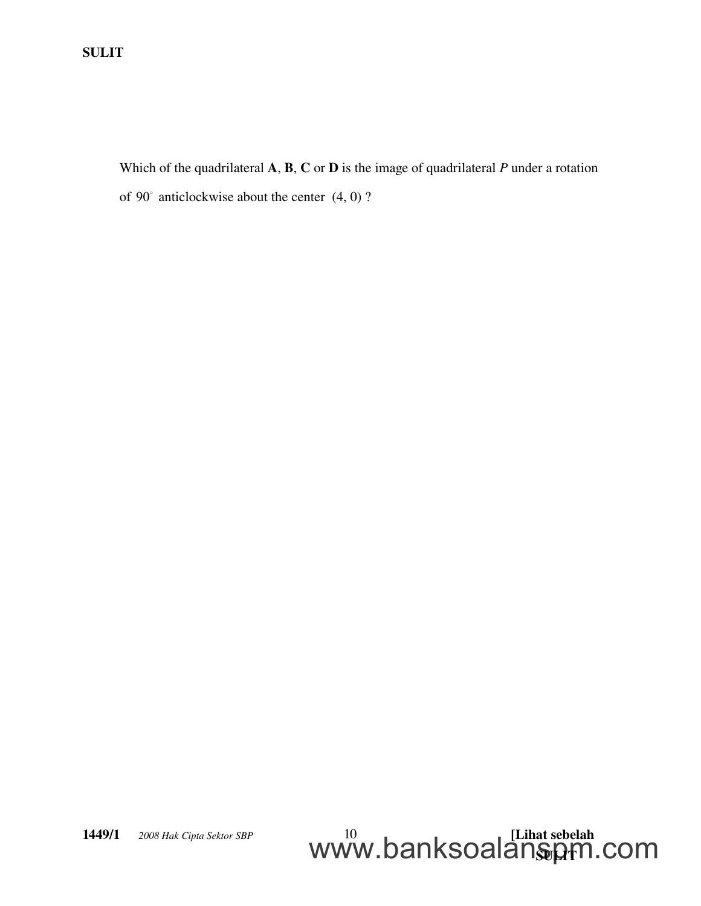Which of the quadrilateral **A**, **B**, **C** or **D** is the image of quadrilateral *P* under a rotation of 90 anticlockwise about the center (4, 0) ?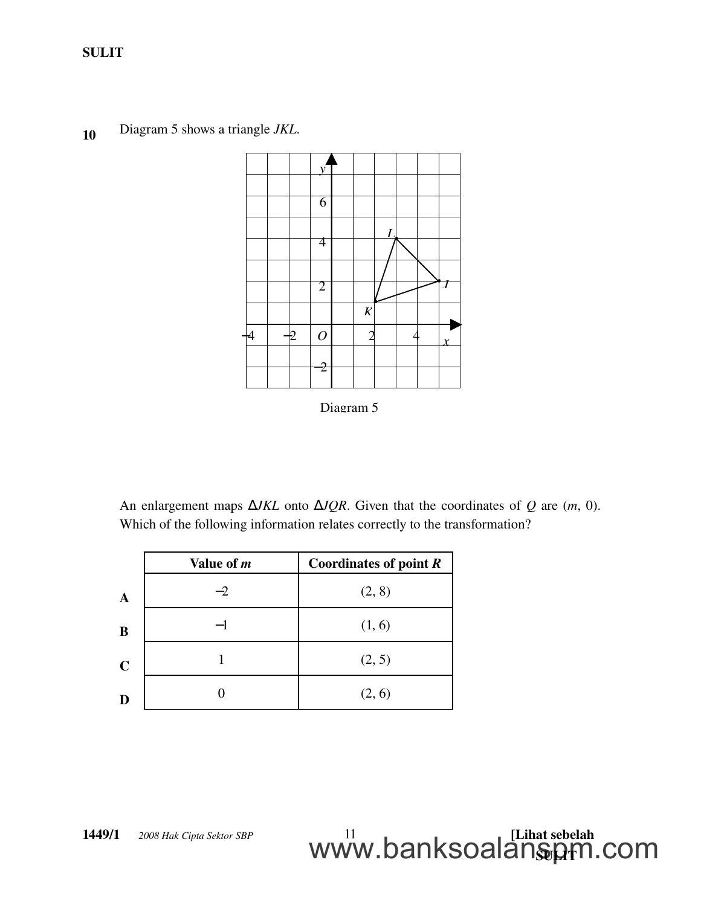<sup>10</sup> Diagram 5 shows a triangle *JKL*.



Diagram 5

An enlargement maps ∆*JKL* onto ∆*JQR*. Given that the coordinates of *Q* are (*m*, 0). Which of the following information relates correctly to the transformation?

|             | Value of <i>m</i> | Coordinates of point $R$ |  |  |
|-------------|-------------------|--------------------------|--|--|
| $\mathbf A$ | $-2$              | (2, 8)                   |  |  |
| B           |                   | (1, 6)                   |  |  |
| $\mathbf C$ |                   | (2, 5)                   |  |  |
| Ð           |                   | (2, 6)                   |  |  |

**1449/1**  $\odot$  2008 Hak Cipta Sektor SBP  $\qquad \qquad 11$ <u>WWW.DalinoUalalistyh</u> www.banksoalanspm.com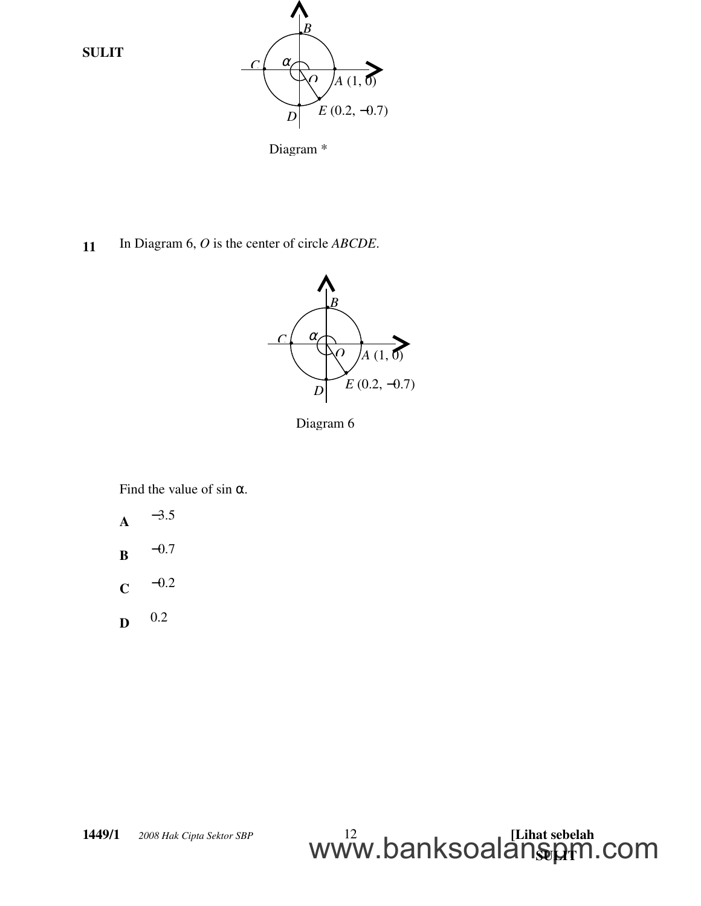

Diagram \*

11 In Diagram 6, *O* is the center of circle *ABCDE*.



Diagram 6

Find the value of sin  $\alpha$ .



- C −0.2
- D 0.2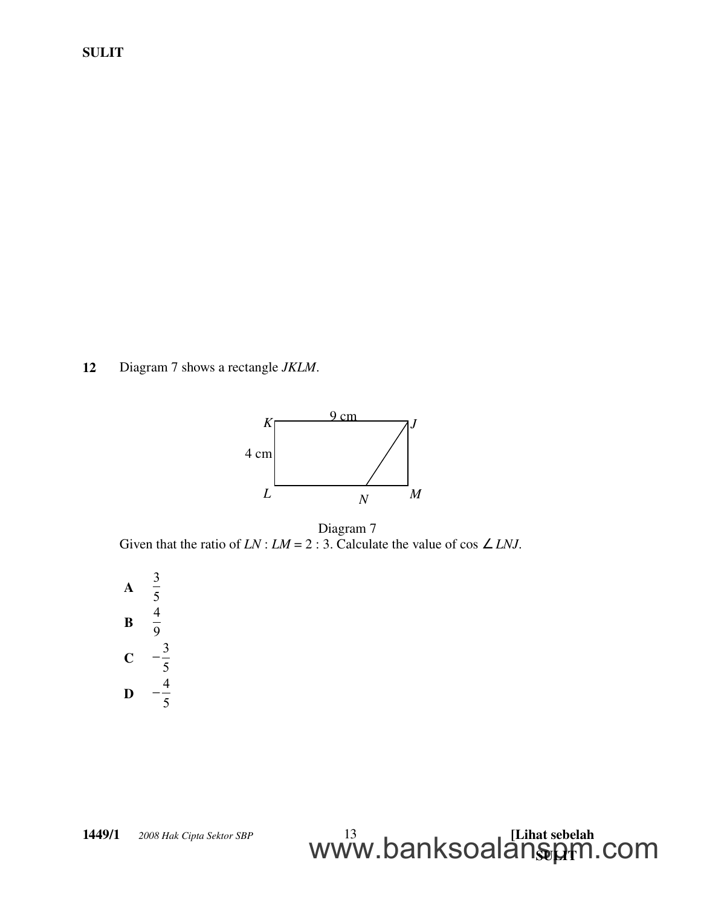12 Diagram 7 shows a rectangle *JKLM*.



Given that the ratio of *LN* : *LM* = 2 : 3. Calculate the value of cos  $\angle$  *LNJ*. Diagram 7

<u>WWW.DalinoUalalistyh</u>

www.banksoalanspm.com

A 3 5 B 4 9  $\mathbf{C}$ 3 5  $\overline{a}$ D 4 5  $\overline{\phantom{0}}$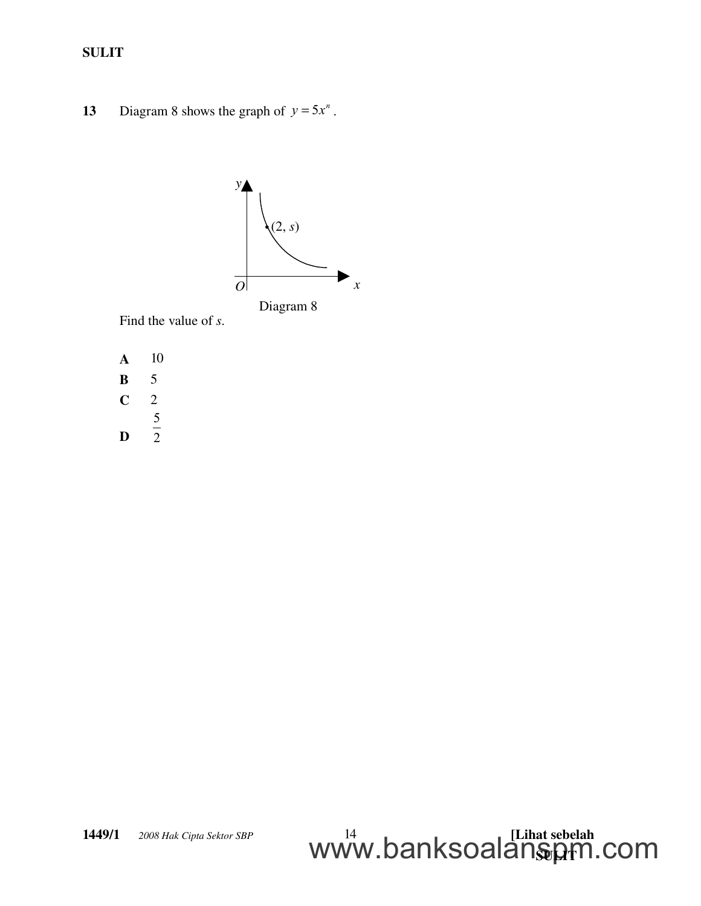13 Diagram 8 shows the graph of  $y = 5x^n$ .



Find the value of *s*.

- A 10
- **B** 5
- $C \t2$
- 5
- D

2

#### **1449/1**  $\odot$  2008 Hak Cipta Sektor SBP  $\qquad \qquad 14$   $\qquad \qquad$   $\qquad \qquad$  [Lihat sebelah <u>WWW.DalinoUalalistyh</u> www.banksoalanspm.com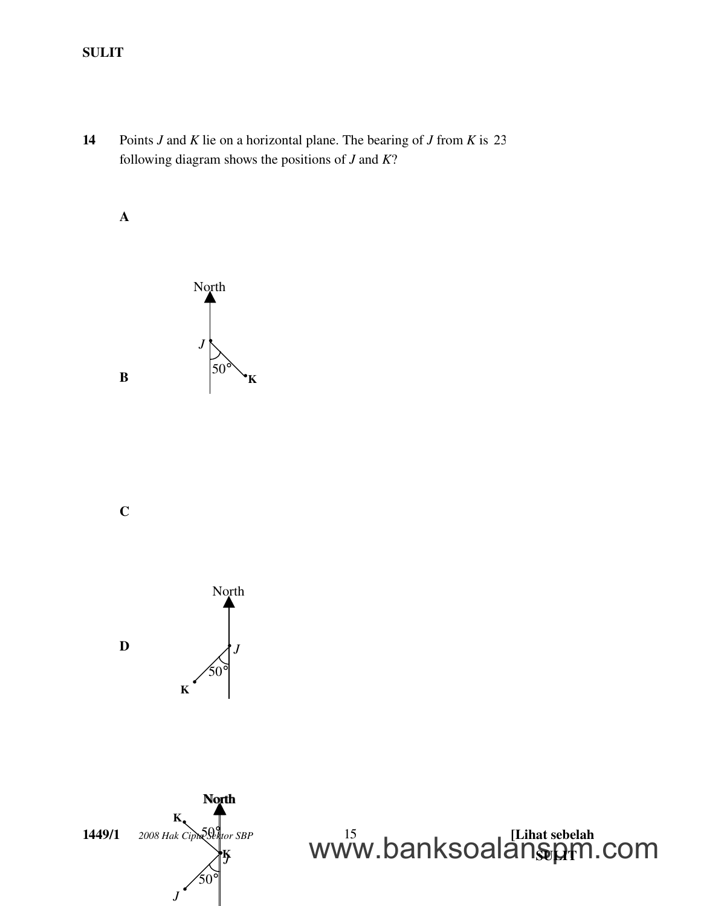14 Points *J* and *K* lie on a horizontal plane. The bearing of *J* from *K* is 23 following diagram shows the positions of *J* and *K*?

A



C





 $1449/1\degree$   $\degree$  2008 Hak Cipta Sector SBP  $15$   $\degree$ www.balinoualalisty. www.banksoalanspm.com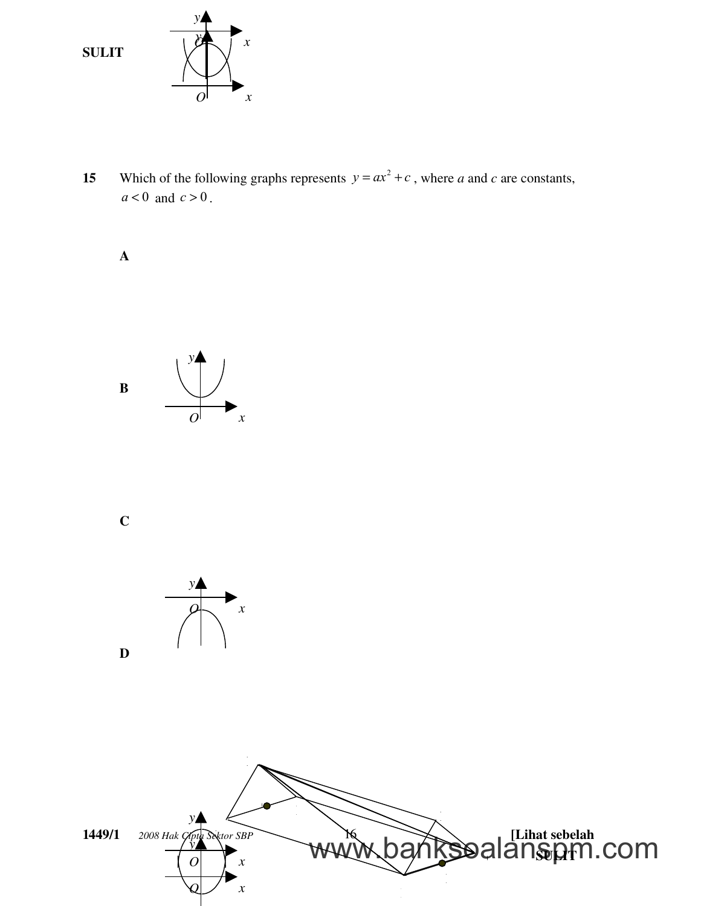

15 Which of the following graphs represents  $y = ax^2 + c$ , where *a* and *c* are constants,  $a < 0$  and  $c > 0$ .

A



C

D



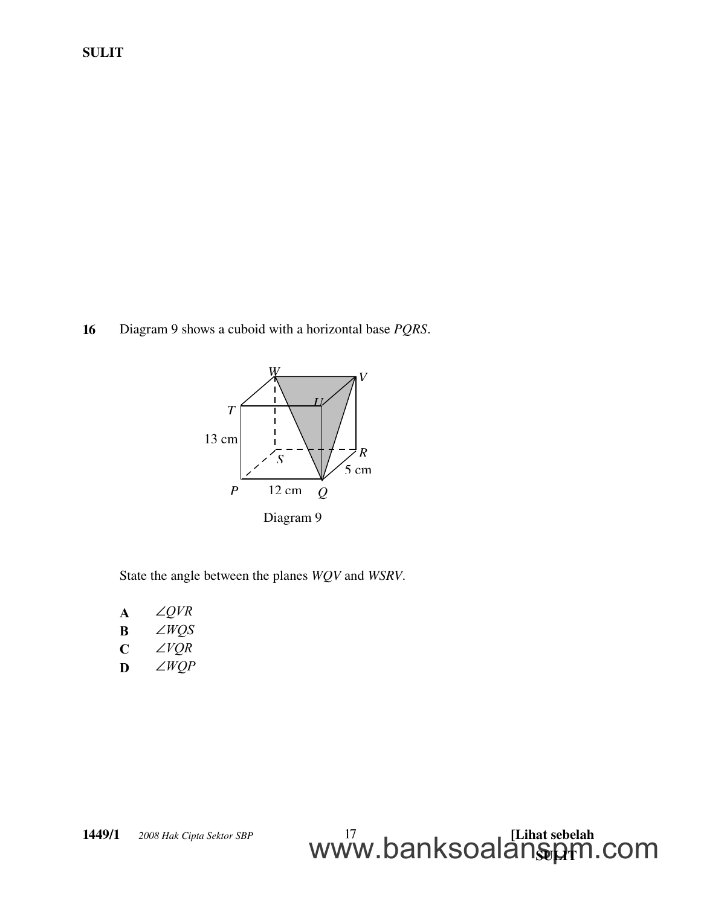16 Diagram 9 shows a cuboid with a horizontal base *PQRS*.



State the angle between the planes *WQV* and *WSRV*.

<u>WWW.DalinoUalalistyh</u>

www.banksoalanspm.com

| A           | $\angle QVR$ |
|-------------|--------------|
| B           | $\angle WQS$ |
| $\mathbf C$ | $\angle VQR$ |

**D** *WQP*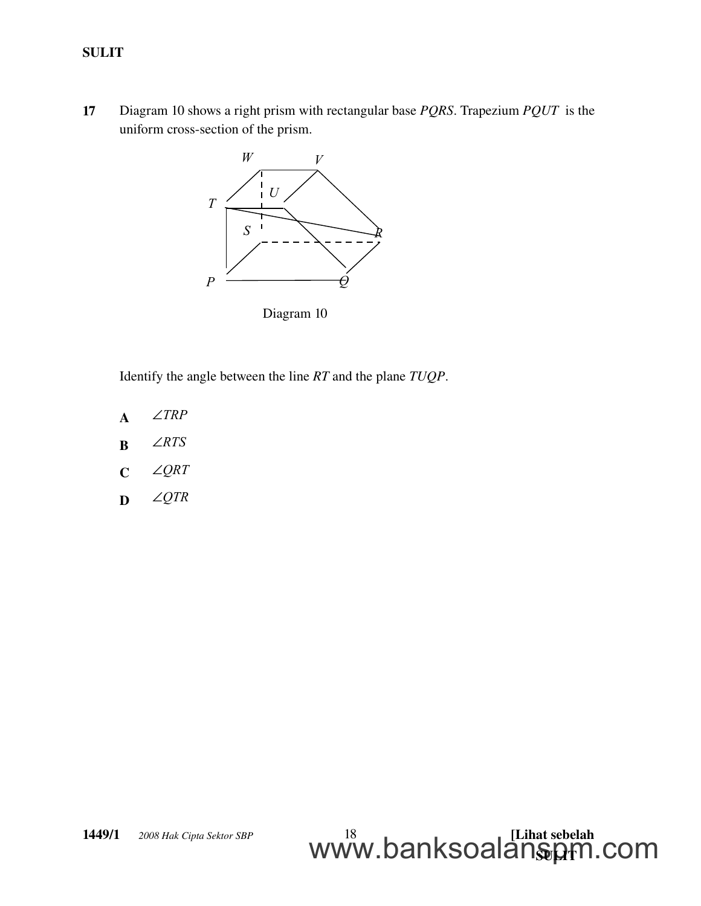17 Diagram 10 shows a right prism with rectangular base *PQRS*. Trapezium *PQUT*  is the uniform cross-section of the prism.



Diagram 10

Identify the angle between the line *RT* and the plane *TUQP*.

- A *TRP*
- **B**  $\angle RTS$
- C *QRT*
- D *QTR*

<u>WWW.DalinoUalalistyh</u>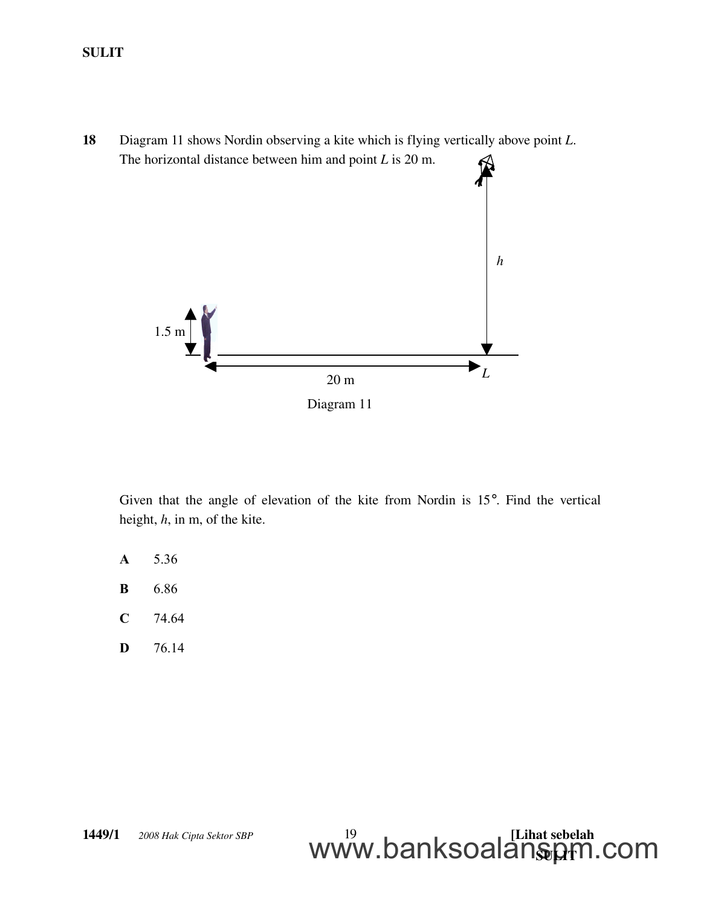18 Diagram 11 shows Nordin observing a kite which is flying vertically above point *L*. The horizontal distance between him and point *L* is 20 m.



Given that the angle of elevation of the kite from Nordin is 15°. Find the vertical height, *h*, in m, of the kite.

- **A** 5.36
- **B** 6.86
- **C** 74.64
- **D** 76.14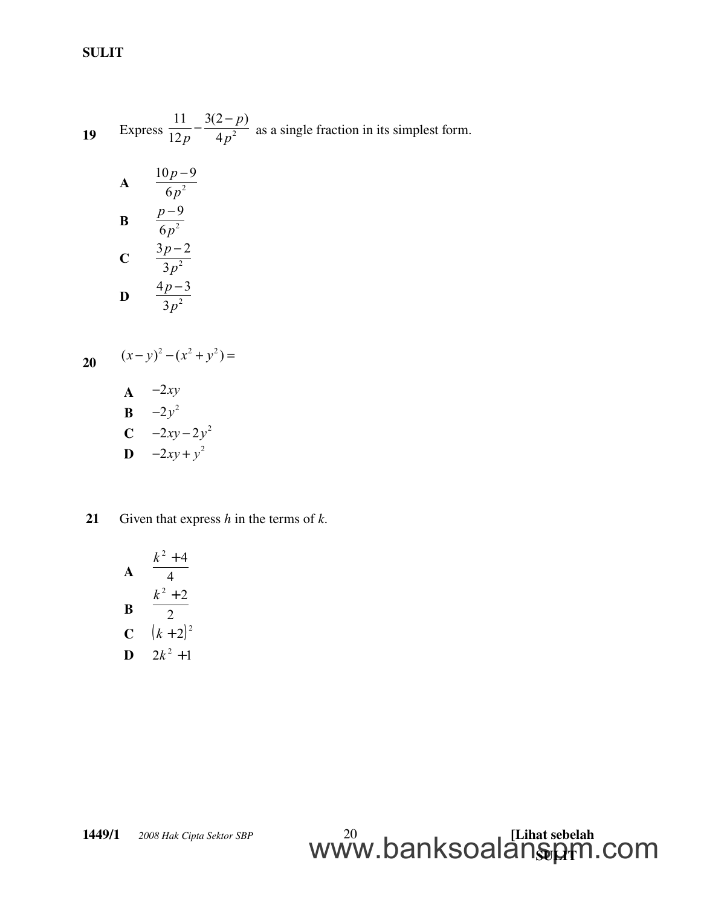19 Express  $\frac{1}{12p} - \frac{1}{4p^2}$ 11  $3(2-p)$  $12p \t 4p$ *p p p*  $-\frac{3(2-p)}{4r^2}$  as a single fraction in its simplest form.

**A** 
$$
\frac{10p-9}{6p^2}
$$
  
\n**B** 
$$
\frac{p-9}{6p^2}
$$
  
\n**C** 
$$
\frac{3p-2}{3p^2}
$$
  
\n**D** 
$$
\frac{4p-3}{3p^2}
$$

20

$$
(x - y)^2 - (x^2 + y^2) =
$$

$$
A \quad -2xy
$$

$$
\mathbf{B} = -2y^2
$$
  

$$
\mathbf{C} = -2xy
$$

$$
\begin{array}{cc}\n\mathbf{C} & -2xy - 2y^2 \\
\mathbf{D} & -2xy + y^2\n\end{array}
$$

21 Given that express 
$$
h
$$
 in the terms of  $k$ .

**A** 
$$
\begin{array}{r} k^2 + 4 \\ 4 \\ \n \textbf{B} \\ \n \textbf{C} \\ \n (k+2)^2 \\ \n \textbf{D} \quad 2k^2 + 1 \n \end{array}
$$

$$
\text{www.banksoalam}_{\text{FDR}}^{\text{20}} \text{www.banksoalam}_{\text{FDR}}^{\text{Lihat sebelah}}
$$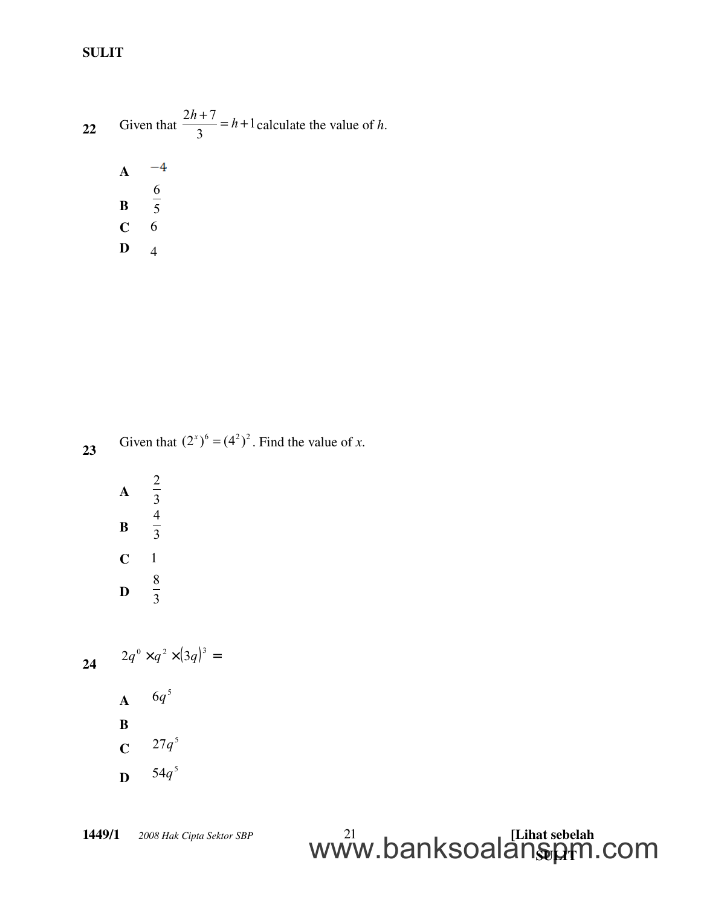22 Given that 
$$
\frac{2h+7}{3} = h+1
$$
 calculate the value of h.  
\n**A**  $\frac{-4}{5}$   
\n**B**  $\frac{6}{5}$   
\n**C** 6

 $\mathbf{D}$  4

23 Given that  $(2^{x})^{6} = (4^{2})^{2}$ . Find the value of *x*.

A 2 3 B 4 3  $C \quad 1$ D 8 3

24  $2q^0 \times q^2 \times (3q)^3 =$  $A = {6q}^5$ B **C**  $27q^5$ 

D 5 54*q*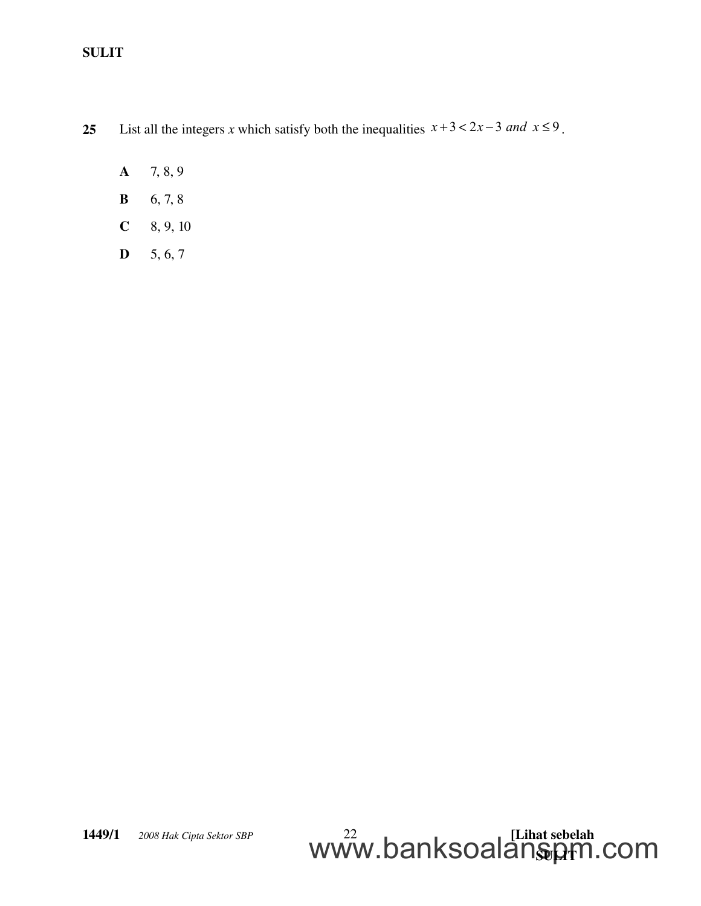25 List all the integers *x* which satisfy both the inequalities  $x + 3 < 2x - 3$  and  $x \le 9$ .

- $A$  7, 8, 9
- **B** 6, 7, 8
- $C = 8, 9, 10$
- $D = 5, 6, 7$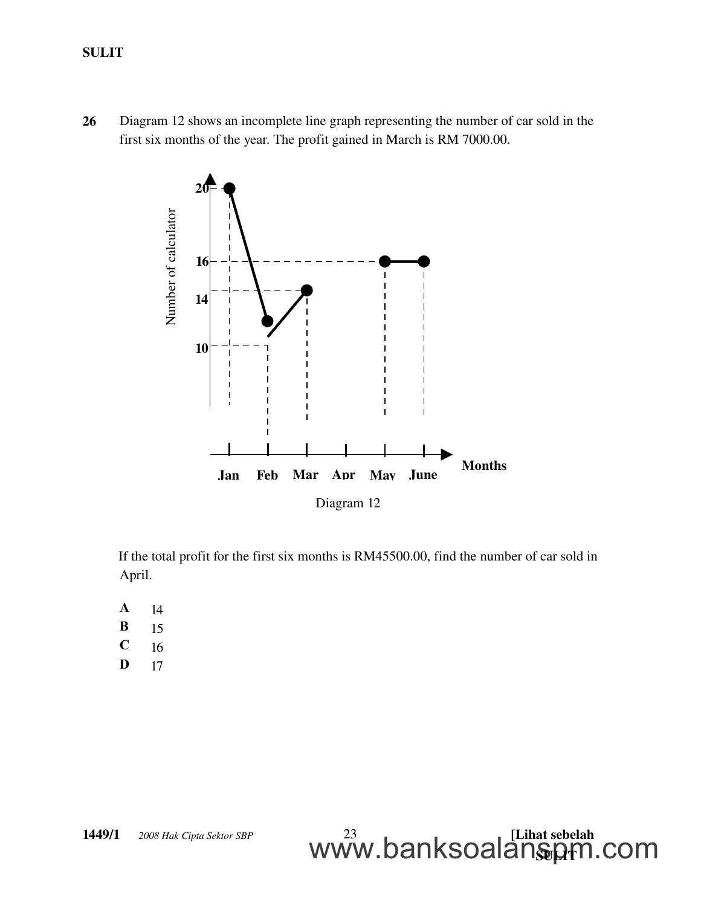26 Diagram 12 shows an incomplete line graph representing the number of car sold in the first six months of the year. The profit gained in March is RM 7000.00.



If the total profit for the first six months is RM45500.00, find the number of car sold in April.

<u>WWW.DalinoUalalistyh</u>

www.banksoalanspm.com

- **A** 14
- **B** 15
- $C = 16$
- **D** 17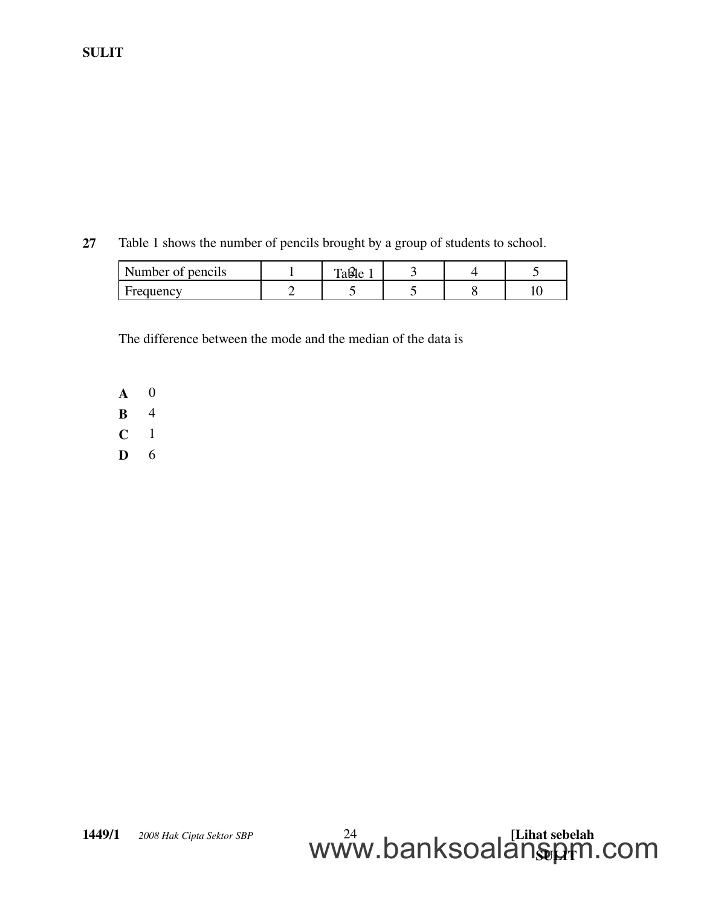27 Table 1 shows the number of pencils brought by a group of students to school.

| Number of pencils | Table |  |  |
|-------------------|-------|--|--|
| Frequency         |       |  |  |

The difference between the mode and the median of the data is

- A 0 B 4  $C \t1$
- D 6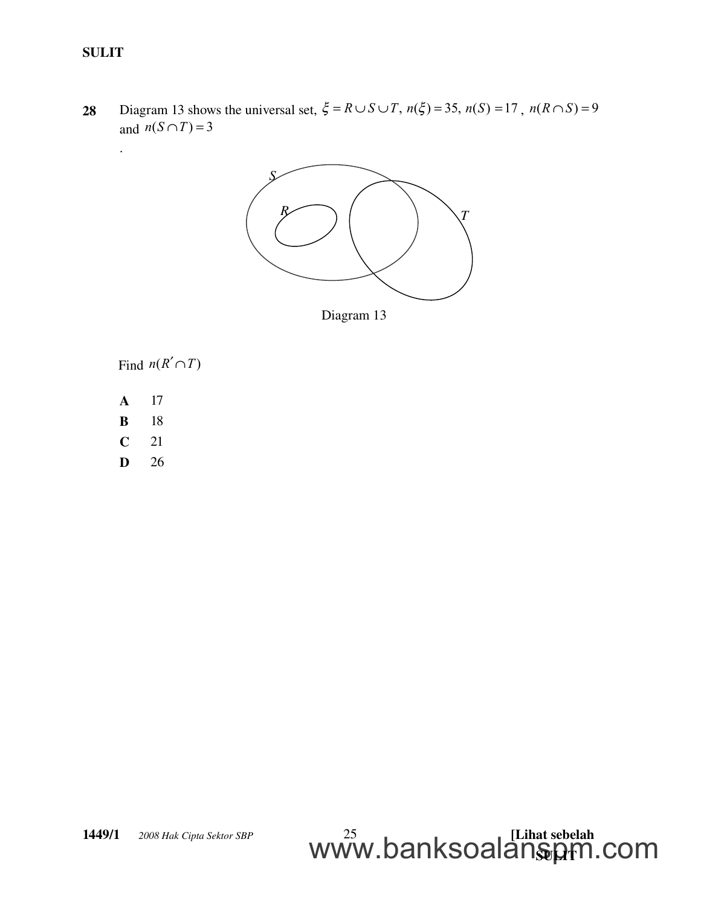.

28 Diagram 13 shows the universal set,  $\xi = R \cup S \cup T$ ,  $n(\xi) = 35$ ,  $n(S) = 17$ ,  $n(R \cap S) = 9$ and  $n(S \cap T) = 3$ 



Diagram 13

Find  $n(R'\cap T)$ 

- A 17
- B 18
- C 21
- D 26

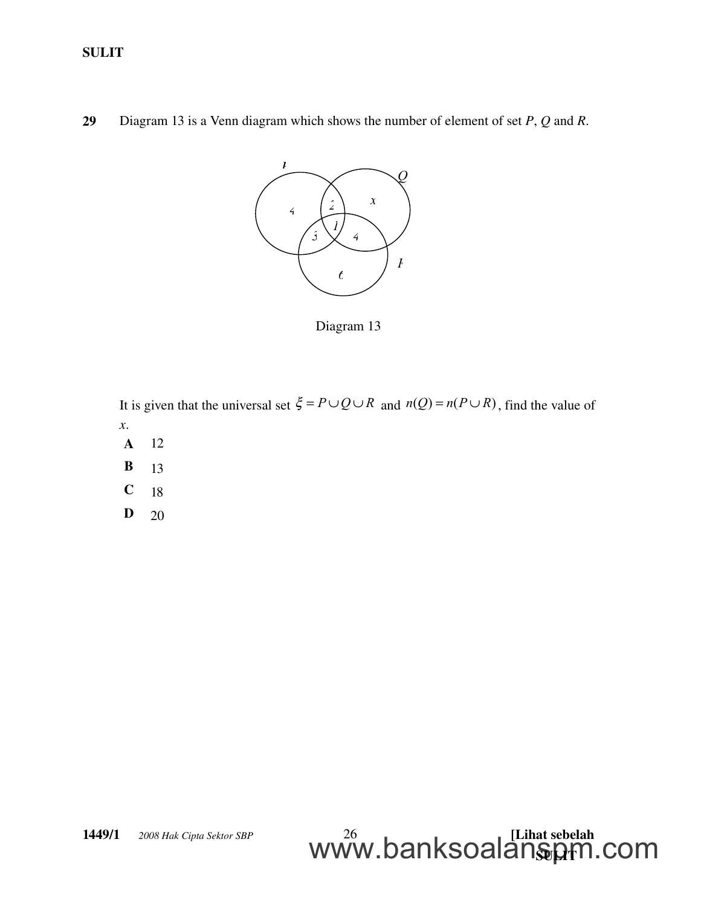29 Diagram 13 is a Venn diagram which shows the number of element of set *P*, *Q* and *R*.



Diagram 13

It is given that the universal set  $\xi = P \cup Q \cup R$  and  $n(Q) = n(P \cup R)$ , find the value of *x*.

- A 12
- **B** 13
- $C$  18
- D 20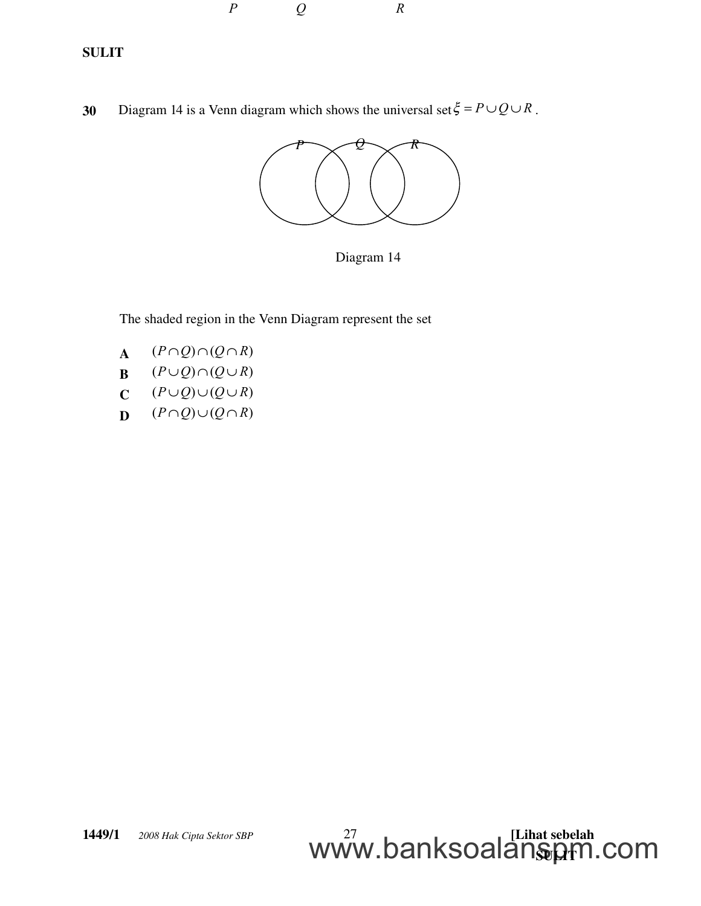

30 Diagram 14 is a Venn diagram which shows the universal set  $\xi = P \cup Q \cup R$ .

*P Q R*



Diagram 14

The shaded region in the Venn Diagram represent the set

- A  $(P \cap Q) \cap (Q \cap R)$
- $B \qquad (P \cup Q) \cap (Q \cup R)$
- $C \qquad (P \cup Q) \cup (Q \cup R)$
- $D \qquad (P \cap Q) \cup (Q \cap R)$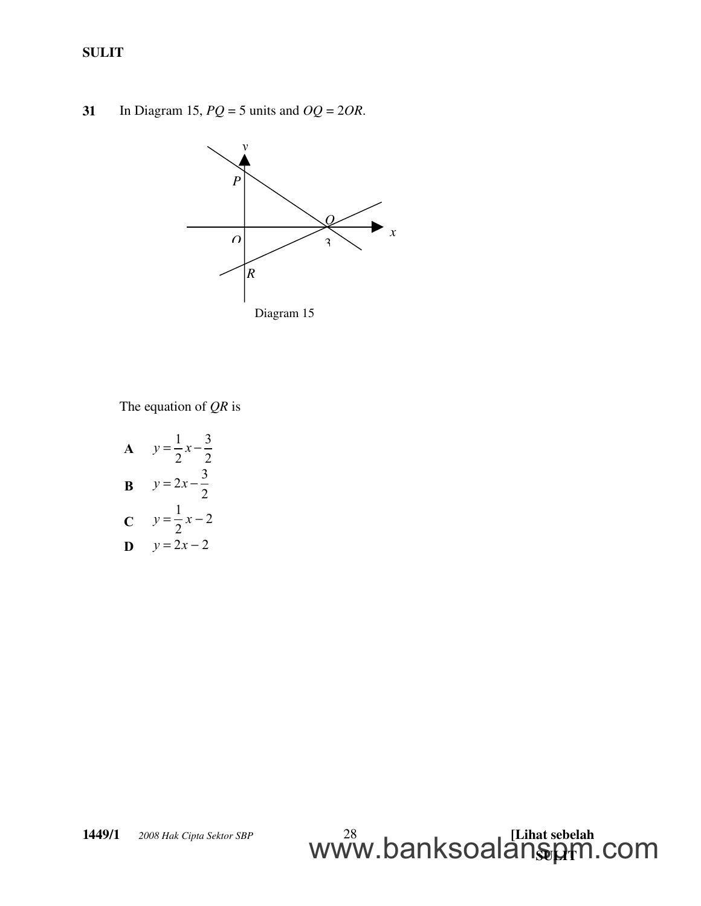31 In Diagram 15, *PQ* = 5 units and *OQ* = 2*OR*.



The equation of *QR* is

**A**  $1 \t3$  $2^{\degree}$  2  $y = \frac{1}{2}x -$ **B**  $2x - \frac{3}{5}$ 2  $y = 2x -$ **C**  $y = \frac{1}{2}x - 2$  $y = \frac{1}{2}x -$ **D**  $y = 2x - 2$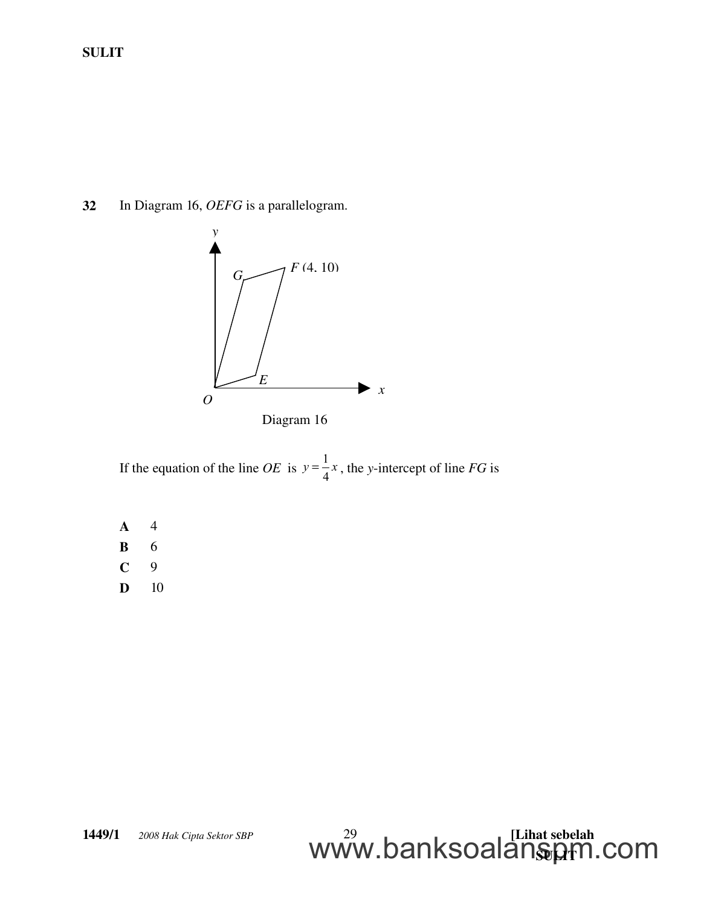32 In Diagram 16, *OEFG* is a parallelogram.



Diagram 16

If the equation of the line *OE* is  $y = \frac{1}{4}$  $y = \frac{1}{4}x$ , the *y*-intercept of line *FG* is

A 4 B 6 C 9 **D** 10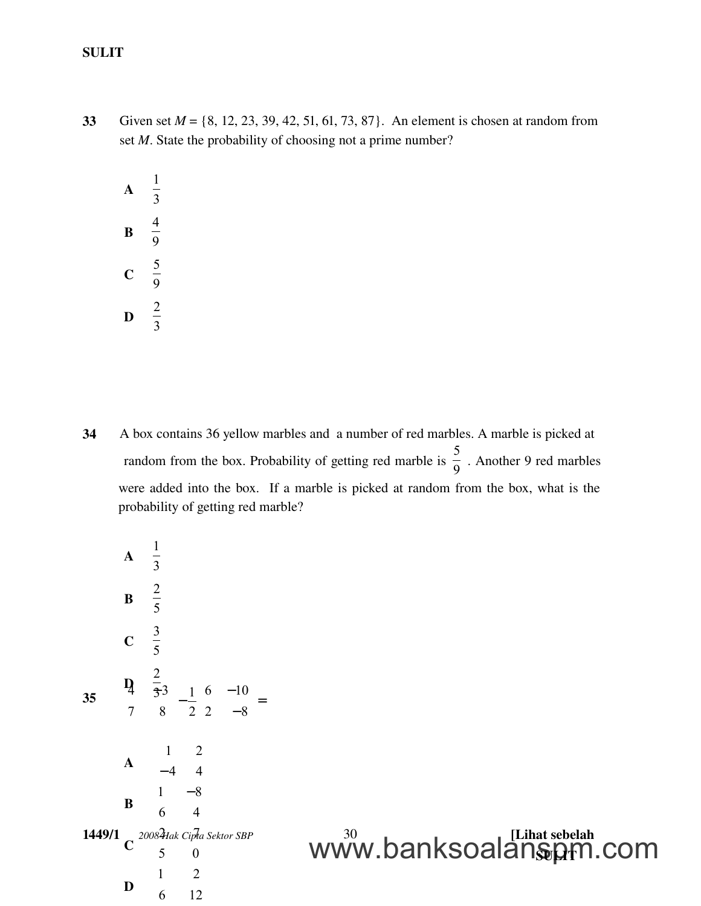33 Given set *M* = {8, 12, 23, 39, 42, 51, 61, 73, 87}. An element is chosen at random from set *M*. State the probability of choosing not a prime number?



34 A box contains 36 yellow marbles and a number of red marbles. A marble is picked at random from the box. Probability of getting red marble is  $\frac{6}{9}$ 5 . Another 9 red marbles were added into the box. If a marble is picked at random from the box, what is the probability of getting red marble?

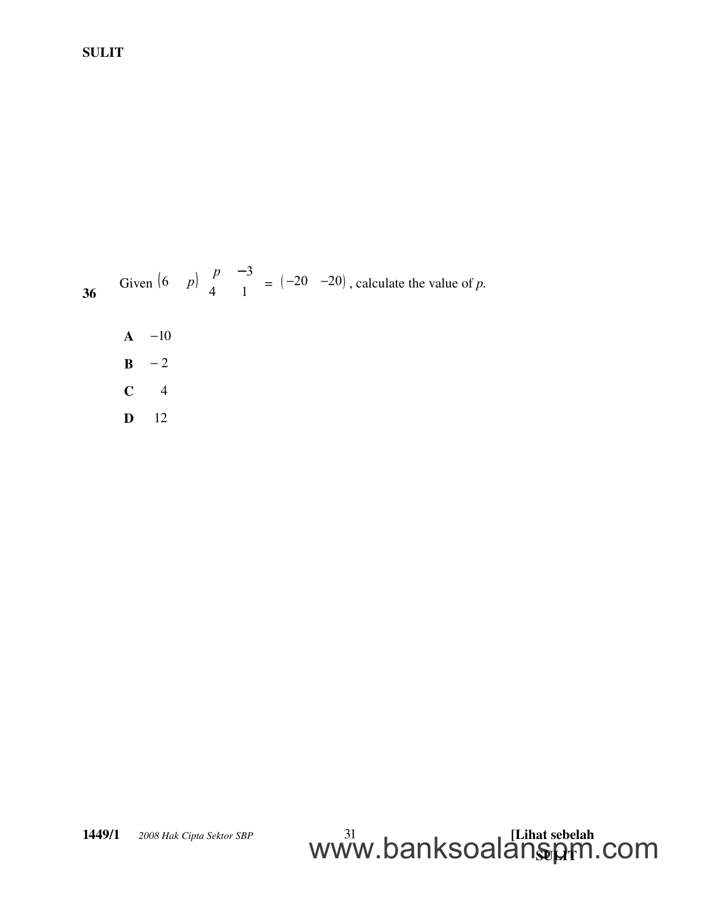

 $\mathbf{A}$  -10  $B - 2$  $C$  4 D 12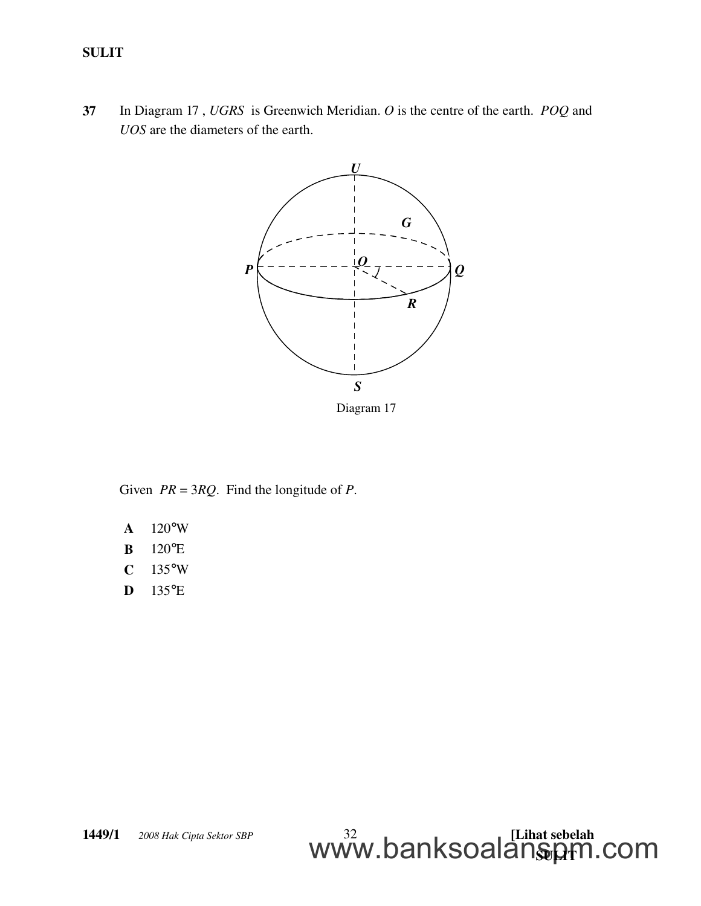37 In Diagram 17 , *UGRS* is Greenwich Meridian. *O* is the centre of the earth. *POQ* and *UOS* are the diameters of the earth.



Given *PR* = 3*RQ*. Find the longitude of *P*.

- A 120°W
- B 120°E
- $C$  135°W
- D 135°E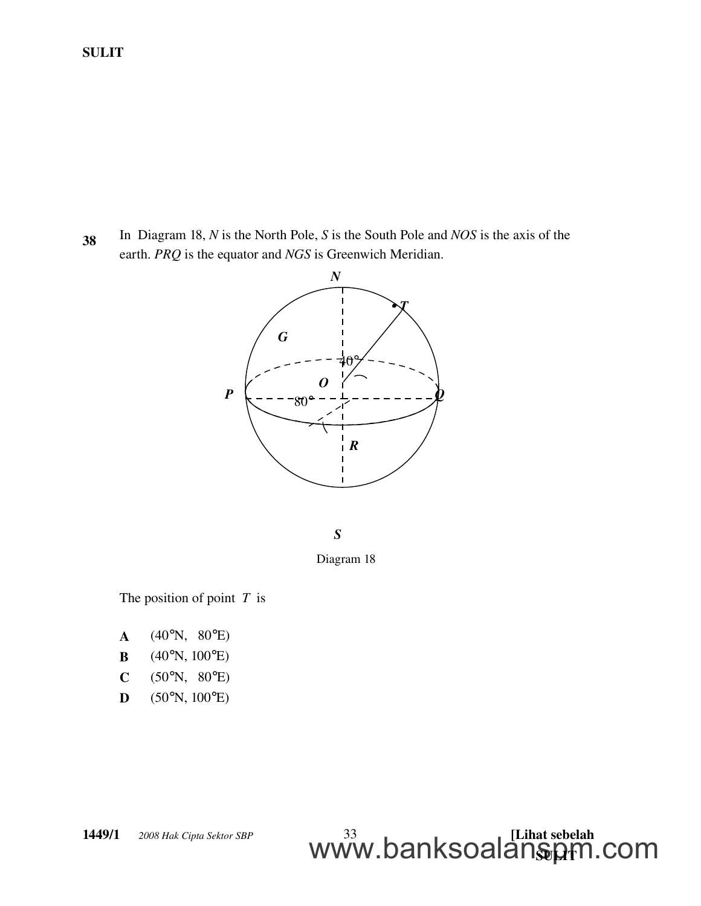<sup>38</sup> In Diagram 18, *N* is the North Pole, *S* is the South Pole and *NOS* is the axis of the earth. *PRQ* is the equator and *NGS* is Greenwich Meridian.



*S*

Diagram 18

<u>WWW.DalinoUalalistyh</u>

www.banksoalanspm.com

The position of point *T* is

- $A$  (40°N, 80°E) **B** (40°N, 100°E)
- 
- $C$  (50°N, 80°E)
- $D$  (50°N, 100°E)

**1449/1** © 2008 Hak Cipta Sektor SBP 33 **1999** [Lihat sebelah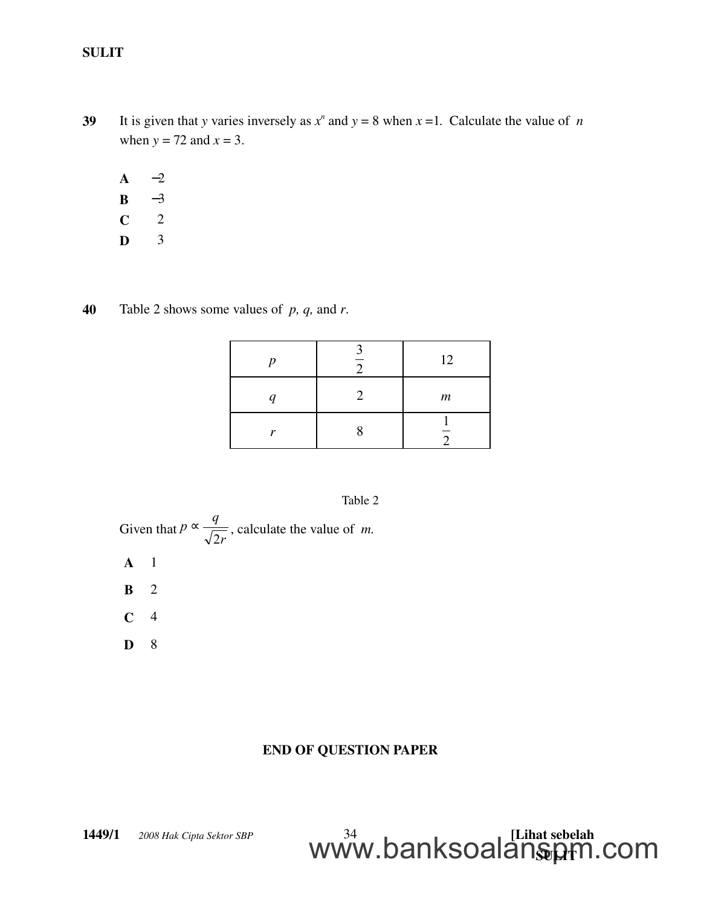- 39 It is given that *y* varies inversely as  $x^n$  and  $y = 8$  when  $x = 1$ . Calculate the value of *n* when  $y = 72$  and  $x = 3$ .
	- $A \t -2$
	- $B -3$
	- $C \t 2$
	- $\mathbf{D}$  3
- 40 Table 2 shows some values of *p, q,* and *r*.

| n | 12               |
|---|------------------|
|   | $\boldsymbol{m}$ |
| v |                  |

#### Table 2

Given that *r q p* 2  $\propto \frac{q}{\sqrt{2}}$ , calculate the value of *m*.

- A 1
- B 2
- $C \quad 4$
- D 8

## END OF QUESTION PAPER

<u>WWW.DalinoUalalistyh</u>

www.banksoalanspm.com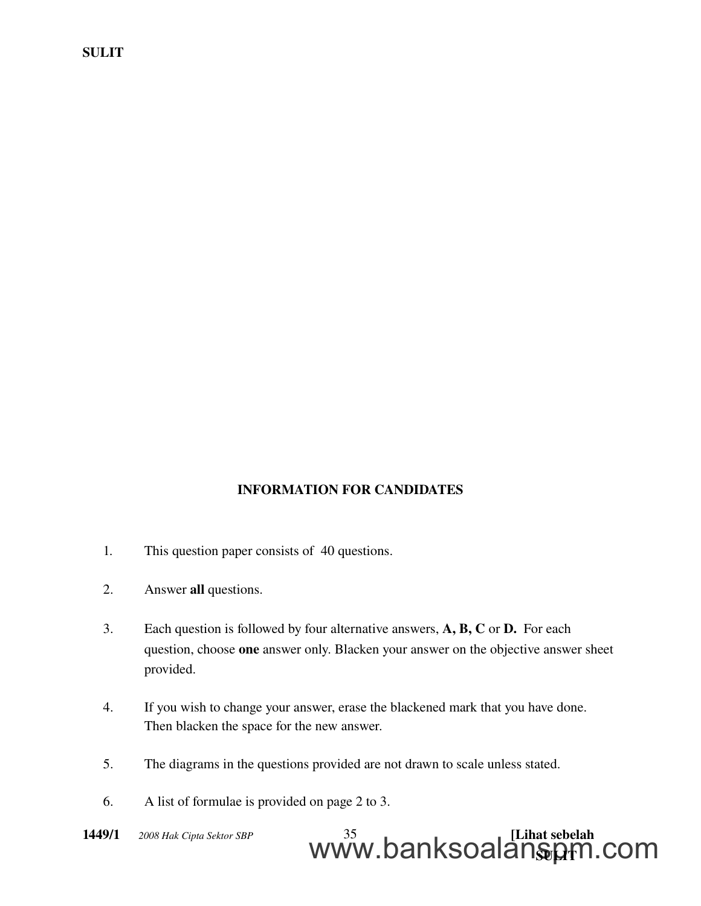### INFORMATION FOR CANDIDATES

- 1. This question paper consists of 40 questions.
- 2. Answer all questions.
- 3. Each question is followed by four alternative answers, A, B, C or D. For each question, choose one answer only. Blacken your answer on the objective answer sheet provided.
- 4. If you wish to change your answer, erase the blackened mark that you have done. Then blacken the space for the new answer.
- 5. The diagrams in the questions provided are not drawn to scale unless stated.
- 6. A list of formulae is provided on page 2 to 3.

#### **1449/1** © 2008 Hak Cipta Sektor SBP 35 **1999 12 | [Lihat sebelah** <u>WWW.DalinoUalalistyh</u> www.banksoalanspm.com